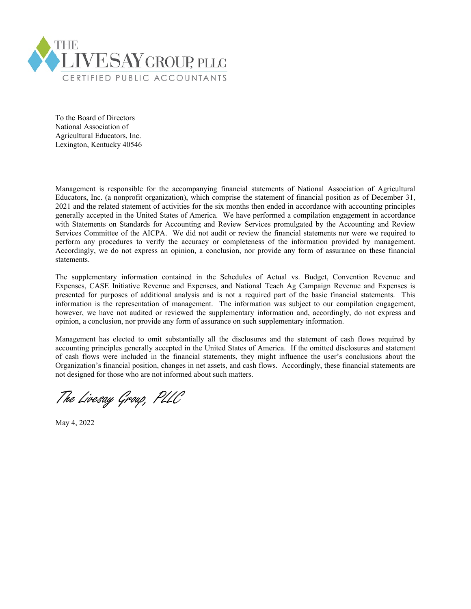

To the Board of Directors National Association of Agricultural Educators, Inc. Lexington, Kentucky 40546

Management is responsible for the accompanying financial statements of National Association of Agricultural Educators, Inc. (a nonprofit organization), which comprise the statement of financial position as of December 31, 2021 and the related statement of activities for the six months then ended in accordance with accounting principles generally accepted in the United States of America. We have performed a compilation engagement in accordance with Statements on Standards for Accounting and Review Services promulgated by the Accounting and Review Services Committee of the AICPA. We did not audit or review the financial statements nor were we required to perform any procedures to verify the accuracy or completeness of the information provided by management. Accordingly, we do not express an opinion, a conclusion, nor provide any form of assurance on these financial statements.

The supplementary information contained in the Schedules of Actual vs. Budget, Convention Revenue and Expenses, CASE Initiative Revenue and Expenses, and National Teach Ag Campaign Revenue and Expenses is presented for purposes of additional analysis and is not a required part of the basic financial statements. This information is the representation of management. The information was subject to our compilation engagement, however, we have not audited or reviewed the supplementary information and, accordingly, do not express and opinion, a conclusion, nor provide any form of assurance on such supplementary information.

Management has elected to omit substantially all the disclosures and the statement of cash flows required by accounting principles generally accepted in the United States of America. If the omitted disclosures and statement of cash flows were included in the financial statements, they might influence the user's conclusions about the Organization's financial position, changes in net assets, and cash flows. Accordingly, these financial statements are not designed for those who are not informed about such matters.

The Livesay Group, PLLC

May 4, 2022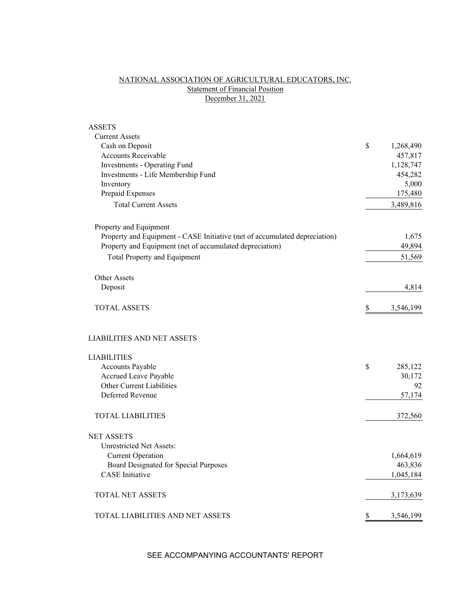# NATIONAL ASSOCIATION OF AGRICULTURAL EDUCATORS, INC. **Statement of Financial Position** December 31, 2021

| <b>ASSETS</b>                                                              |                 |
|----------------------------------------------------------------------------|-----------------|
| <b>Current Assets</b>                                                      |                 |
| Cash on Deposit                                                            | \$<br>1,268,490 |
| <b>Accounts Receivable</b>                                                 | 457,817         |
| Investments - Operating Fund                                               | 1,128,747       |
| Investments - Life Membership Fund                                         | 454,282         |
| Inventory                                                                  | 5,000           |
| Prepaid Expenses                                                           | 175,480         |
| <b>Total Current Assets</b>                                                | 3,489,816       |
| Property and Equipment                                                     |                 |
| Property and Equipment - CASE Initiative (net of accumulated depreciation) | 1,675           |
| Property and Equipment (net of accumulated depreciation)                   | 49,894          |
| Total Property and Equipment                                               | 51,569          |
| Other Assets                                                               |                 |
| Deposit                                                                    | 4,814           |
| <b>TOTAL ASSETS</b>                                                        | \$<br>3,546,199 |
| <b>LIABILITIES AND NET ASSETS</b>                                          |                 |
| <b>LIABILITIES</b>                                                         |                 |
| Accounts Payable                                                           | \$<br>285,122   |
| Accrued Leave Payable                                                      | 30,172          |
| Other Current Liabilities                                                  | 92              |
| Deferred Revenue                                                           | 57,174          |
| <b>TOTAL LIABILITIES</b>                                                   | 372,560         |
| <b>NET ASSETS</b>                                                          |                 |
| <b>Unrestricted Net Assets:</b>                                            |                 |
| <b>Current Operation</b>                                                   | 1,664,619       |
| Board Designated for Special Purposes                                      | 463,836         |
| <b>CASE</b> Initiative                                                     | 1,045,184       |
| TOTAL NET ASSETS                                                           | 3,173,639       |
| TOTAL LIABILITIES AND NET ASSETS                                           | \$<br>3,546,199 |
|                                                                            |                 |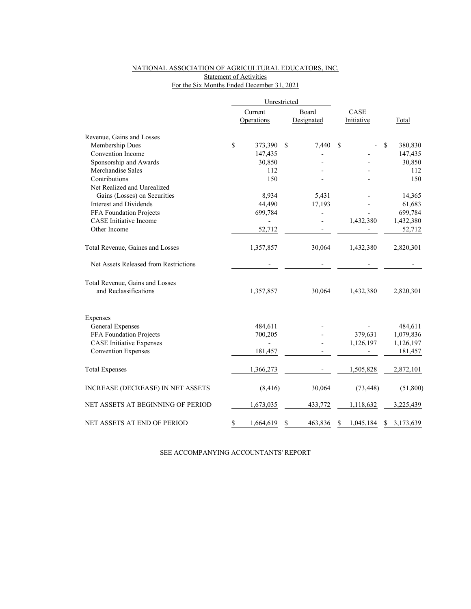### NATIONAL ASSOCIATION OF AGRICULTURAL EDUCATORS, INC. Statement of Activities For the Six Months Ended December 31, 2021

|                                       | Unrestricted  |                       |             |                          |    |                    |                 |
|---------------------------------------|---------------|-----------------------|-------------|--------------------------|----|--------------------|-----------------|
|                                       |               | Current<br>Operations |             | Board<br>Designated      |    | CASE<br>Initiative | Total           |
| Revenue, Gains and Losses             |               |                       |             |                          |    |                    |                 |
| Membership Dues                       | $\mathsf{\$}$ | 373,390               | $\mathbf S$ | 7,440                    | \$ |                    | \$<br>380,830   |
| Convention Income                     |               | 147,435               |             |                          |    |                    | 147,435         |
| Sponsorship and Awards                |               | 30,850                |             |                          |    |                    | 30,850          |
| Merchandise Sales                     |               | 112                   |             |                          |    |                    | 112             |
| Contributions                         |               | 150                   |             |                          |    |                    | 150             |
| Net Realized and Unrealized           |               |                       |             |                          |    |                    |                 |
| Gains (Losses) on Securities          |               | 8,934                 |             | 5,431                    |    |                    | 14,365          |
| Interest and Dividends                |               | 44,490                |             | 17,193                   |    |                    | 61,683          |
| FFA Foundation Projects               |               | 699,784               |             | $\overline{\phantom{0}}$ |    |                    | 699,784         |
| <b>CASE</b> Initiative Income         |               | $\overline{a}$        |             |                          |    | 1,432,380          | 1,432,380       |
| Other Income                          |               | 52,712                |             |                          |    |                    | 52,712          |
| Total Revenue, Gaines and Losses      |               | 1,357,857             |             | 30,064                   |    | 1,432,380          | 2,820,301       |
| Net Assets Released from Restrictions |               |                       |             |                          |    |                    |                 |
| Total Revenue, Gains and Losses       |               |                       |             |                          |    |                    |                 |
| and Reclassifications                 |               | 1,357,857             |             | 30,064                   |    | 1,432,380          | 2,820,301       |
| Expenses                              |               |                       |             |                          |    |                    |                 |
| General Expenses                      |               | 484,611               |             |                          |    |                    | 484,611         |
| FFA Foundation Projects               |               | 700,205               |             |                          |    | 379,631            | 1,079,836       |
| <b>CASE</b> Initiative Expenses       |               |                       |             |                          |    | 1,126,197          | 1,126,197       |
| <b>Convention Expenses</b>            |               | 181,457               |             |                          |    |                    | 181,457         |
|                                       |               |                       |             |                          |    |                    |                 |
| <b>Total Expenses</b>                 |               | 1,366,273             |             |                          |    | 1,505,828          | 2,872,101       |
| INCREASE (DECREASE) IN NET ASSETS     |               | (8, 416)              |             | 30,064                   |    | (73, 448)          | (51,800)        |
| NET ASSETS AT BEGINNING OF PERIOD     |               | 1,673,035             |             | 433,772                  |    | 1,118,632          | 3,225,439       |
| NET ASSETS AT END OF PERIOD           | \$            | 1,664,619             | \$          | 463,836                  | \$ | 1,045,184          | \$<br>3,173,639 |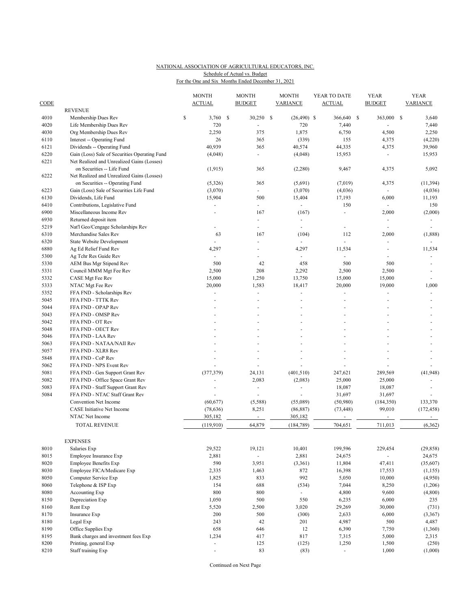#### NATIONAL ASSOCIATION OF AGRICULTURAL EDUCATORS, INC. For the One and Six Months Ended December 31, 2021 Schedule of Actual vs. Budget

| CODE |                                                                          | <b>MONTH</b><br><b>ACTUAL</b> | <b>MONTH</b><br><b>BUDGET</b> | <b>MONTH</b><br><b>VARIANCE</b> | YEAR TO DATE<br><b>ACTUAL</b> | <b>YEAR</b><br><b>BUDGET</b> |    | <b>YEAR</b><br><b>VARIANCE</b> |
|------|--------------------------------------------------------------------------|-------------------------------|-------------------------------|---------------------------------|-------------------------------|------------------------------|----|--------------------------------|
| 4010 | <b>REVENUE</b><br>Membership Dues Rev                                    | \$<br>3,760                   | \$<br>30,250                  | \$<br>$(26,490)$ \$             | 366,640 \$                    | 363,000                      | -S | 3,640                          |
| 4020 | Life Membership Dues Rev                                                 | 720                           |                               | 720                             | 7,440                         |                              |    | 7,440                          |
| 4030 | Org Membership Dues Rev                                                  | 2,250                         | 375                           | 1,875                           | 6,750                         | 4,500                        |    | 2,250                          |
| 6110 | Interest -- Operating Fund                                               | 26                            | 365                           | (339)                           | 155                           | 4,375                        |    | (4,220)                        |
| 6121 | Dividends -- Operating Fund                                              | 40,939                        | 365                           | 40,574                          | 44,335                        | 4,375                        |    | 39,960                         |
| 6220 | Gain (Loss) Sale of Securities Operating Fund                            | (4,048)                       | $\sim$                        | (4,048)                         | 15,953                        | ä,                           |    | 15,953                         |
| 6221 | Net Realized and Unrealized Gains (Losses)<br>on Securities -- Life Fund | (1,915)                       | 365                           | (2,280)                         | 9,467                         | 4,375                        |    | 5,092                          |
| 6222 | Net Realized and Unrealized Gains (Losses)                               |                               |                               | (5,691)                         |                               |                              |    |                                |
| 6223 | on Securities -- Operating Fund                                          | (5,326)                       | 365                           | (3,070)                         | (7,019)                       | 4,375                        |    | (11, 394)                      |
| 6130 | Gain (Loss) Sale of Securities Life Fund<br>Dividends, Life Fund         | (3,070)<br>15,904             | 500                           | 15,404                          | (4,036)<br>17,193             | 6,000                        |    | (4,036)<br>11,193              |
| 6410 |                                                                          |                               | $\omega$ .                    | $\sim$                          | 150                           | ÷,                           |    | 150                            |
| 6900 | Contributions, Legislative Fund<br>Miscellaneous Income Rev              |                               | 167                           |                                 | L.                            | 2,000                        |    | (2,000)                        |
| 6930 | Returned deposit item                                                    |                               | $\overline{\phantom{a}}$      | (167)                           |                               | $\overline{\phantom{a}}$     |    |                                |
| 5219 |                                                                          | ÷,                            | $\omega$                      | ÷.                              | ÷.                            | $\sim$                       |    | $\sim$                         |
| 6310 | Nat'l Geo/Cengage Scholarships Rev<br>Merchandise Sales Rev              | 63                            | 167                           | (104)                           | 112                           | 2,000                        |    | (1,888)                        |
| 6320 | <b>State Website Development</b>                                         |                               | $\overline{\phantom{a}}$      | ä,                              | $\blacksquare$                | $\overline{\phantom{a}}$     |    |                                |
| 6880 | Ag Ed Relief Fund Rev                                                    | 4,297                         |                               | 4,297                           | 11,534                        | ÷,                           |    | 11,534                         |
| 5300 | Ag Tchr Res Guide Rev                                                    |                               |                               | ÷.                              | ä,                            | $\overline{a}$               |    |                                |
| 5330 |                                                                          | 500                           | 42                            | 458                             | 500                           | 500                          |    | $\sim$                         |
| 5331 | AEM Bus Mgr Stipend Rev<br>Council MMM Mgt Fee Rev                       | 2,500                         | 208                           | 2,292                           | 2,500                         | 2,500                        |    |                                |
| 5332 |                                                                          | 15,000                        | 1,250                         | 13,750                          | 15,000                        | 15,000                       |    | $\sim$                         |
| 5333 | CASE Mgt Fee Rev                                                         |                               | 1,583                         |                                 |                               | 19,000                       |    | 1,000                          |
| 5352 | NTAC Mgt Fee Rev<br>FFA FND - Scholarships Rev                           | 20,000                        |                               | 18,417<br>÷,                    | 20,000                        |                              |    |                                |
| 5045 | FFA FND - TTTK Rev                                                       |                               |                               |                                 |                               |                              |    |                                |
| 5044 | FFA FND - OPAP Rev                                                       |                               |                               |                                 |                               |                              |    |                                |
| 5043 |                                                                          |                               |                               |                                 |                               |                              |    |                                |
| 5042 | FFA FND - OMSP Rev<br>FFA FND - OT Rev                                   |                               |                               |                                 |                               |                              |    |                                |
| 5048 |                                                                          |                               |                               |                                 |                               |                              |    |                                |
| 5046 | FFA FND - OECT Rev<br>FFA FND - LAA Rev                                  |                               |                               |                                 |                               |                              |    |                                |
| 5063 | FFA FND - NATAA/NAII Rev                                                 |                               |                               |                                 |                               |                              |    |                                |
| 5057 | FFA FND - XLR8 Rev                                                       |                               |                               |                                 |                               |                              |    |                                |
| 5848 | FFA FND - CoP Rev                                                        |                               |                               |                                 |                               |                              |    |                                |
| 5062 | FFA FND - NPS Event Rev                                                  |                               |                               |                                 |                               |                              |    |                                |
| 5081 | FFA FND - Gen Support Grant Rev                                          | (377, 379)                    | 24,131                        | (401, 510)                      | 247,621                       | 289,569                      |    | (41, 948)                      |
| 5082 | FFA FND - Office Space Grant Rev                                         |                               | 2,083                         | (2,083)                         | 25,000                        | 25,000                       |    |                                |
| 5083 | FFA FND - Staff Support Grant Rev                                        |                               | $\sim$                        | ÷                               | 18,087                        | 18,087                       |    |                                |
| 5084 | FFA FND - NTAC Staff Grant Rev                                           |                               | ÷.                            |                                 | 31,697                        | 31,697                       |    |                                |
|      | Convention Net Income                                                    | (60, 677)                     | (5,588)                       | (55,089)                        | (50,980)                      | (184, 350)                   |    | 133,370                        |
|      | CASE Initiative Net Income                                               | (78, 636)                     | 8,251                         | (86, 887)                       | (73, 448)                     | 99,010                       |    | (172, 458)                     |
|      | NTAC Net Income                                                          | 305,182                       | $\sim$                        | 305,182                         |                               | $\overline{\phantom{a}}$     |    | $\blacksquare$                 |
|      |                                                                          |                               |                               |                                 |                               |                              |    |                                |
|      | <b>TOTAL REVENUE</b>                                                     | (119,910)                     | 64,879                        | (184, 789)                      | 704,651                       | 711,013                      |    | (6,362)                        |
|      | <b>EXPENSES</b>                                                          |                               |                               |                                 |                               |                              |    |                                |
| 8010 | Salaries Exp                                                             | 29,522                        | 19,121                        | 10,401                          | 199,596                       | 229,454                      |    | (29, 858)                      |
| 8015 | Employee Insurance Exp                                                   | 2,881                         | $\sim$                        | 2,881                           | 24,675                        | $\overline{\phantom{a}}$     |    | 24,675                         |
| 8020 | <b>Employee Benefits Exp</b>                                             | 590                           | 3,951                         | (3,361)                         | 11,804                        | 47,411                       |    | (35,607)                       |
| 8030 | Employee FICA/Medicare Exp                                               | 2,335                         | 1,463                         | 872                             | 16,398                        | 17,553                       |    | (1, 155)                       |
| 8050 | Computer Service Exp                                                     | 1,825                         | 833                           | 992                             | 5,050                         | 10,000                       |    | (4,950)                        |
| 8060 | Telephone & ISP Exp                                                      | 154                           | 688                           | (534)                           | 7,044                         | 8,250                        |    | (1,206)                        |
| 8080 | Accounting Exp                                                           | 800                           | 800                           | ÷.                              | 4,800                         | 9,600                        |    | (4,800)                        |
| 8150 | Depreciation Exp                                                         | 1,050                         | 500                           | 550                             | 6,235                         | 6,000                        |    | 235                            |
| 8160 | Rent Exp                                                                 | 5,520                         | 2,500                         | 3,020                           | 29,269                        | 30,000                       |    | (731)                          |
| 8170 | Insurance Exp                                                            | 200                           | 500                           | (300)                           | 2,633                         | 6,000                        |    | (3, 367)                       |
| 8180 | Legal Exp                                                                | 243                           | 42                            | 201                             | 4,987                         | 500                          |    | 4,487                          |
| 8190 | Office Supplies Exp                                                      | 658                           | 646                           | 12                              | 6,390                         | 7,750                        |    | (1,360)                        |
| 8195 | Bank charges and investment fees Exp                                     | 1,234                         | 417                           | 817                             | 7,315                         | 5,000                        |    | 2,315                          |
| 8200 | Printing, general Exp                                                    | $\overline{\phantom{a}}$      | 125                           | (125)                           | 1,250                         | 1,500                        |    | (250)                          |
| 8210 | Staff training Exp                                                       | ä,                            | 83                            | (83)                            | ÷.                            | 1,000                        |    | (1,000)                        |

Continued on Next Page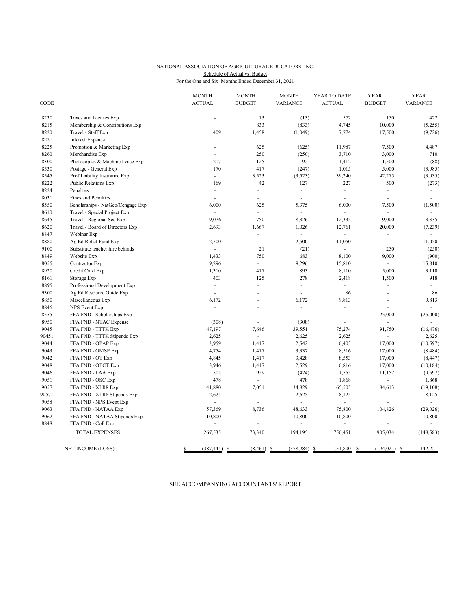#### NATIONAL ASSOCIATION OF AGRICULTURAL EDUCATORS, INC. For the One and Six Months Ended December 31, 2021 Schedule of Actual vs. Budget

| <b>CODE</b> |                                   | <b>MONTH</b><br><b>ACTUAL</b> | <b>MONTH</b><br><b>BUDGET</b> | <b>MONTH</b><br><b>VARIANCE</b> | YEAR TO DATE<br><b>ACTUAL</b> | <b>YEAR</b><br><b>BUDGET</b> | <b>YEAR</b><br><b>VARIANCE</b> |
|-------------|-----------------------------------|-------------------------------|-------------------------------|---------------------------------|-------------------------------|------------------------------|--------------------------------|
|             |                                   |                               |                               |                                 |                               |                              |                                |
| 8230        | Taxes and licenses Exp            | ä,                            | 13                            | (13)                            | 572                           | 150                          | 422                            |
| 8215        | Membership & Contributions Exp    |                               | 833                           | (833)                           | 4,745                         | 10,000                       | (5,255)                        |
| 8220        | Travel - Staff Exp                | 409                           | 1,458                         | (1,049)                         | 7,774                         | 17,500                       | (9, 726)                       |
| 8221        | <b>Interest Expense</b>           |                               |                               |                                 |                               | ä,                           |                                |
| 8225        | Promotion & Marketing Exp         | L,                            | 625                           | (625)                           | 11,987                        | 7,500                        | 4,487                          |
| 8260        | Merchandise Exp                   |                               | 250                           | (250)                           | 3,710                         | 3,000                        | 710                            |
| 8300        | Photocopies & Machine Lease Exp   | 217                           | 125                           | 92                              | 1,412                         | 1,500                        | (88)                           |
| 8530        | Postage - General Exp             | 170                           | 417                           | (247)                           | 1,015                         | 5,000                        | (3,985)                        |
| 8545        | Prof Liability Insurance Exp      | ÷.                            | 3,523                         | (3,523)                         | 39,240                        | 42,275                       | (3,035)                        |
| 8222        | <b>Public Relations Exp</b>       | 169                           | 42                            | 127                             | 227                           | 500                          | (273)                          |
| 8224        | Penalties                         | ä,                            | $\sim$                        | $\bar{a}$                       | ä,                            | L,                           | $\omega$                       |
| 8031        | Fines and Penalties               |                               |                               |                                 |                               |                              |                                |
| 8550        | Scholarships - NatGeo/Cengage Exp | 6,000                         | 625                           | 5,375                           | 6,000                         | 7,500                        | (1,500)                        |
| 8610        | Travel - Special Project Exp      | $\sim$                        | ÷.                            | $\sim$                          |                               | ÷.                           | $\sim$                         |
| 8645        | Travel - Regional Sec Exp         | 9,076                         | 750                           | 8,326                           | 12,335                        | 9,000                        | 3,335                          |
| 8620        | Travel - Board of Directors Exp   | 2,693                         | 1,667                         | 1,026                           | 12,761                        | 20,000                       | (7,239)                        |
| 8847        | Webinar Exp                       |                               | ÷.                            | ÷.                              | ÷.                            | $\blacksquare$               |                                |
| 8880        | Ag Ed Relief Fund Exp             | 2,500                         | ÷.                            | 2,500                           | 11,050                        | $\sim$                       | 11,050                         |
| 9100        | Substitute teacher hire behinds   | $\sim$                        | 21                            | (21)                            | ÷.                            | 250                          | (250)                          |
| 8849        | Website Exp                       | 1,433                         | 750                           | 683                             | 8,100                         | 9,000                        | (900)                          |
| 8055        | Contractor Exp                    | 9,296                         | $\equiv$                      | 9,296                           | 15,810                        | L.                           | 15,810                         |
| 8920        | Credit Card Exp                   | 1,310                         | 417                           | 893                             | 8,110                         | 5,000                        | 3,110                          |
| 8161        | Storage Exp                       | 403                           | 125                           | 278                             | 2,418                         | 1,500                        | 918                            |
| 8895        | Professional Development Exp      | ÷,                            |                               | $\overline{\phantom{a}}$        | $\blacksquare$                | ä,                           | $\overline{\phantom{a}}$       |
| 9300        | Ag Ed Resource Guide Exp          | ÷,                            |                               | ÷,                              | 86                            | ä,                           | 86                             |
| 8850        | Miscellaneous Exp                 | 6,172                         |                               | 6,172                           | 9,813                         |                              | 9,813                          |
| 8846        | <b>NPS</b> Event Exp              | ÷.                            |                               | ÷,                              | L.                            | ÷.                           | ÷.                             |
| 8555        | FFA FND - Scholarships Exp        |                               |                               |                                 | L.                            | 25,000                       | (25,000)                       |
| 8950        | FFA FND - NTAC Expense            | (308)                         |                               | (308)                           |                               |                              |                                |
| 9045        | FFA FND - TTTK Exp                | 47,197                        | 7,646                         | 39,551                          | 75,274                        | 91,750                       | (16, 476)                      |
| 90451       | FFA FND - TTTK Stipends Exp       | 2,625                         | ÷.                            | 2,625                           | 2,625                         | $\mathcal{L}_{\mathcal{A}}$  | 2,625                          |
| 9044        | FFA FND - OPAP Exp                | 3,959                         | 1,417                         | 2,542                           | 6,403                         | 17,000                       | (10, 597)                      |
| 9043        | FFA FND - OMSP Exp                | 4,754                         | 1,417                         | 3,337                           | 8,516                         | 17,000                       | (8, 484)                       |
| 9042        | FFA FND - OT Exp                  | 4,845                         | 1,417                         | 3,428                           | 8,553                         | 17,000                       | (8, 447)                       |
| 9048        | FFA FND - OECT Exp                | 3,946                         | 1,417                         | 2,529                           | 6,816                         | 17,000                       | (10, 184)                      |
| 9046        | FFA FND - LAA Exp                 | 505                           | 929                           | (424)                           | 1,555                         | 11,152                       | (9, 597)                       |
| 9051        | FFA FND - OSC Exp                 | 478                           | ÷.                            | 478                             | 1,868                         | L.                           | 1,868                          |
| 9057        | FFA FND - XLR8 Exp                | 41,880                        | 7,051                         | 34,829                          | 65,505                        | 84,613                       | (19, 108)                      |
| 90571       | FFA FND - XLR8 Stipends Exp       | 2,625                         |                               | 2,625                           | 8,125                         | ä,                           | 8,125                          |
| 9058        | FFA FND - NPS Event Exp           | ÷.                            | ÷                             | $\omega$                        | ä,                            |                              | $\omega$                       |
| 9063        | FFA FND - NATAA Exp               | 57,369                        | 8,736                         | 48,633                          | 75,800                        | 104,826                      | (29, 026)                      |
| 9062        | FFA FND - NATAA Stipends Exp      | 10,800                        | ÷                             | 10,800                          | 10,800                        |                              | 10,800                         |
| 8848        | FFA FND - CoP Exp                 | $\blacksquare$                |                               | $\sim$                          | $\omega$                      |                              | $\omega$                       |
|             | <b>TOTAL EXPENSES</b>             | 267,535                       | 73,340                        | 194,195                         | 756,451                       | 905,034                      | (148, 583)                     |
|             | NET INCOME (LOSS)                 | \$<br>$(387, 445)$ \$         | $(8,461)$ \$                  | $(378, 984)$ \$                 | $(51,800)$ \$                 | $(194, 021)$ \$              | 142,221                        |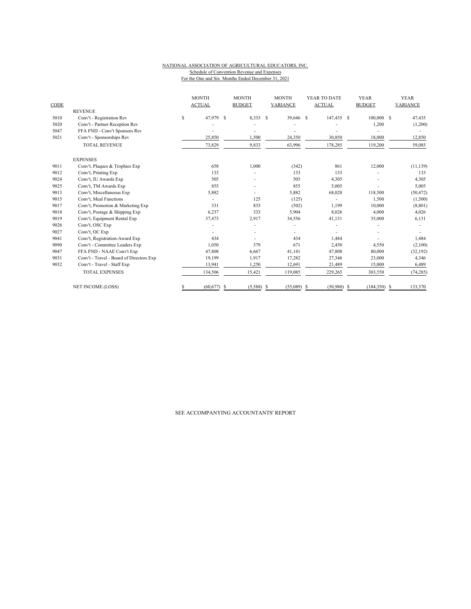#### NATIONAL ASSOCIATION OF AGRICULTURAL EDUCATORS, INC. Schedule of Convention Revenue and Expenses

For the One and Six Months Ended December 31, 2021

| CODE | <b>REVENUE</b>                           |    | <b>MONTH</b><br><b>ACTUAL</b> | <b>MONTH</b><br><b>BUDGET</b> | <b>MONTH</b><br>VARIANCE | YEAR TO DATE<br><b>ACTUAL</b> | <b>YEAR</b><br><b>BUDGET</b> | <b>YEAR</b><br>VARIANCE |
|------|------------------------------------------|----|-------------------------------|-------------------------------|--------------------------|-------------------------------|------------------------------|-------------------------|
| 5010 | Conv't - Registration Rev                | \$ | 47,979 \$                     | 8,333 \$                      | 39,646 \$                | 147,435 \$                    | $100,000$ \$                 | 47,435                  |
| 5020 | Conv't - Partner Reception Rev           |    |                               |                               |                          |                               | 1,200                        | (1,200)                 |
| 5047 | FFA FND - Conv't Sponsors Rev            |    |                               |                               |                          |                               |                              |                         |
| 5021 | Conv't - Sponsorships Rev                |    | 25,850                        | 1,500                         | 24,350                   | 30,850                        | 18,000                       | 12,850                  |
|      | <b>TOTAL REVENUE</b>                     |    | 73,829                        | 9,833                         | 63,996                   | 178,285                       | 119,200                      | 59,085                  |
|      | <b>EXPENSES</b>                          |    |                               |                               |                          |                               |                              |                         |
| 9011 | Conv't, Plaques & Trophies Exp           |    | 658                           | 1,000                         | (342)                    | 861                           | 12,000                       | (11, 139)               |
| 9012 | Conv't, Printing Exp                     |    | 133                           |                               | 133                      | 133                           |                              | 133                     |
| 9024 | Conv't, IU Awards Exp                    |    | 505                           |                               | 505                      | 4,305                         |                              | 4,305                   |
| 9025 | Conv't, TM Awards Exp                    |    | 855                           |                               | 855                      | 5,005                         |                              | 5,005                   |
| 9013 | Conv't, Miscellaneous Exp                |    | 5,882                         |                               | 5,882                    | 68,028                        | 118,500                      | (50, 472)               |
| 9015 | Conv't, Meal Functions                   |    |                               | 125                           | (125)                    |                               | 1,500                        | (1,500)                 |
| 9017 | Conv't, Promotion & Marketing Exp        |    | 331                           | 833                           | (502)                    | 1,199                         | 10,000                       | (8, 801)                |
| 9018 | Conv't, Postage & Shipping Exp           |    | 6,237                         | 333                           | 5,904                    | 8,026                         | 4,000                        | 4,026                   |
| 9019 | Conv't, Equipment Rental Exp             |    | 37,473                        | 2,917                         | 34,556                   | 41,131                        | 35,000                       | 6,131                   |
| 9026 | Conv't, OSC Exp                          |    |                               |                               |                          |                               |                              |                         |
| 9027 | Conv't, OC Exp                           |    |                               |                               | ٠                        | ٠                             |                              |                         |
| 9041 | Conv't, Registration-Award Exp           |    | 434                           |                               | 434                      | 1.484                         |                              | 1,484                   |
| 9090 | Conv't - Committee Leaders Exp           |    | 1,050                         | 379                           | 671                      | 2,450                         | 4,550                        | (2,100)                 |
| 9047 | FFA FND - NAAE Conv't Exp                |    | 47.808                        | 6,667                         | 41.141                   | 47,808                        | 80,000                       | (32, 192)               |
| 9031 | Conv't - Travel - Board of Directors Exp |    | 19,199                        | 1,917                         | 17,282                   | 27,346                        | 23,000                       | 4,346                   |
| 9032 | Conv't - Travel - Staff Exp              |    | 13,941                        | 1,250                         | 12,691                   | 21,489                        | 15,000                       | 6,489                   |
|      | <b>TOTAL EXPENSES</b>                    |    | 134,506                       | 15,421                        | 119,085                  | 229,265                       | 303,550                      | (74, 285)               |
|      | <b>NET INCOME (LOSS)</b>                 | S  | $(60,677)$ \$                 | $(5,588)$ \$                  | $(55,089)$ \$            | $(50,980)$ \$                 | $(184,350)$ \$               | 133,370                 |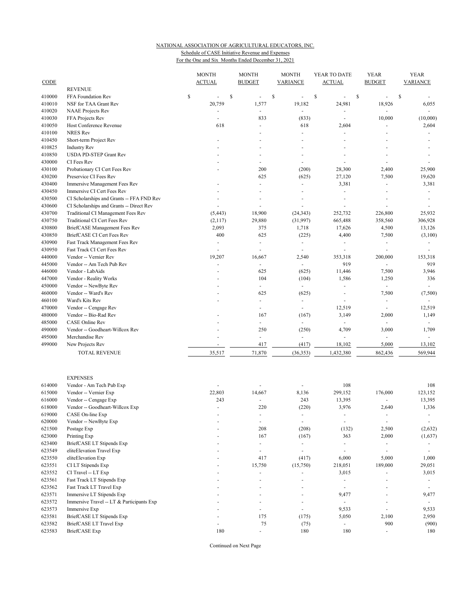## NATIONAL ASSOCIATION OF AGRICULTURAL EDUCATORS, INC.

Schedule of CASE Initiative Revenue and Expenses For the One and Six Months Ended December 31, 2021

|                  |                                                                                | <b>MONTH</b>   | <b>MONTH</b>             | <b>MONTH</b>             | YEAR TO DATE             | <b>YEAR</b>              | <b>YEAR</b>                 |
|------------------|--------------------------------------------------------------------------------|----------------|--------------------------|--------------------------|--------------------------|--------------------------|-----------------------------|
| CODE             | <b>REVENUE</b>                                                                 | <b>ACTUAL</b>  | <b>BUDGET</b>            | <b>VARIANCE</b>          | <b>ACTUAL</b>            | <b>BUDGET</b>            | <b>VARIANCE</b>             |
| 410000           | FFA Foundation Rev                                                             | \$<br>\$<br>ä, | ÷,                       | \$<br>L.                 | \$                       | \$                       | \$                          |
| 410010           | NSF for TAA Grant Rev                                                          | 20,759         | 1,577                    | 19,182                   | 24,981                   | 18,926                   | 6,055                       |
| 410020           | <b>NAAE</b> Projects Rev                                                       | ä,             | ä,                       | $\omega$                 | ä,                       |                          |                             |
| 410030           | FFA Projects Rev                                                               | ä,             | 833                      | (833)                    | ÷,                       | 10,000                   | (10,000)                    |
| 410050           | Host Conference Revenue                                                        | 618            | ÷,                       | 618                      | 2,604                    |                          | 2,604                       |
| 410100           | NRES Rev                                                                       |                |                          |                          |                          |                          |                             |
| 410450           | Short-term Project Rev                                                         |                | ÷.                       | $\overline{a}$           | $\overline{a}$           |                          |                             |
| 410825           | <b>Industry Rev</b>                                                            |                |                          |                          |                          |                          |                             |
| 410850           | USDA PD-STEP Grant Rev                                                         |                |                          |                          |                          |                          |                             |
| 430000           | CI Fees Rev                                                                    |                | ÷,                       | $\overline{a}$           |                          |                          |                             |
| 430100           | Probationary CI Cert Fees Rev                                                  |                | 200                      | (200)                    | 28,300                   | 2,400                    | 25,900                      |
| 430200           | Preservice CI Fees Rev                                                         |                | 625                      | (625)                    | 27,120                   | 7,500                    | 19,620                      |
| 430400           | Immersive Management Fees Rev                                                  |                |                          | $\overline{a}$           | 3,381                    |                          | 3,381                       |
| 430450           | Immersive CI Cert Fees Rev                                                     |                |                          |                          | ä,                       |                          | $\overline{\phantom{a}}$    |
| 430500           | CI Scholarships and Grants -- FFA FND Rev                                      |                | ä,<br>ä,                 | ä,<br>ä,                 |                          |                          | ÷                           |
| 430600<br>430700 | CI Scholarships and Grants -- Direct Rev<br>Traditional CI Management Fees Rev | ä,<br>(5, 443) | 18,900                   | (24, 343)                | 252,732                  | 226,800                  | 25,932                      |
| 430750           | Traditional CI Cert Fees Rev                                                   | (2,117)        | 29,880                   | (31,997)                 | 665,488                  | 358,560                  | 306,928                     |
| 430800           | BriefCASE Management Fees Rev                                                  | 2,093          | 375                      | 1,718                    | 17,626                   | 4,500                    | 13,126                      |
| 430850           | BriefCASE CI Cert Fees Rev                                                     | 400            | 625                      | (225)                    | 4,400                    | 7,500                    | (3,100)                     |
| 430900           | Fast Track Management Fees Rev                                                 | ÷,             | ÷,                       | ÷,                       | $\overline{\phantom{a}}$ | $\overline{\phantom{a}}$ |                             |
| 430950           | Fast Track CI Cert Fees Rev                                                    | ä,             | ä,                       | $\sim$                   | $\sim$                   | ÷.                       |                             |
| 440000           | Vendor -- Vernier Rev                                                          | 19,207         | 16,667                   | 2,540                    | 353,318                  | 200,000                  | 153,318                     |
| 445000           | Vendor -- Am Tech Pub Rev                                                      | ÷              | ÷,                       | $\overline{\phantom{a}}$ | 919                      | $\overline{\phantom{a}}$ | 919                         |
| 446000           | Vendor - LabAids                                                               |                | 625                      | (625)                    | 11,446                   | 7,500                    | 3,946                       |
| 447000           | Vendor - Reality Works                                                         |                | 104                      | (104)                    | 1,586                    | 1,250                    | 336                         |
| 450000           | Vendor -- NewByte Rev                                                          |                | ÷.                       | $\omega$                 | L.                       | $\omega$                 | $\mathcal{L}_{\mathcal{A}}$ |
| 460000           | Vendor -- Ward's Rev                                                           |                | 625                      | (625)                    | $\sim$                   | 7,500                    | (7,500)                     |
| 460100           | Ward's Kits Rev                                                                |                | ÷,                       | $\overline{\phantom{a}}$ | $\overline{\phantom{a}}$ | $\overline{\phantom{a}}$ | $\overline{\phantom{a}}$    |
| 470000           | Vendor -- Cengage Rev                                                          |                | L,                       | L.                       | 12,519                   | ÷,                       | 12,519                      |
| 480000           | Vendor -- Bio-Rad Rev                                                          |                | 167                      | (167)                    | 3,149                    | 2,000                    | 1,149                       |
| 485000           | <b>CASE</b> Online Rev                                                         |                | ٠                        | ÷.                       | $\sim$                   | $\sim$                   | $\sim$                      |
| 490000           | Vendor -- Goodheart-Willcox Rev                                                |                | 250                      | (250)                    | 4,709                    | 3,000                    | 1,709                       |
| 495000           | Merchandise Rev                                                                |                | ä,                       | $\omega$                 | $\omega$                 | $\omega$                 | $\omega$                    |
| 499000           | New Projects Rev                                                               | ÷,             | 417                      | (417)                    | 18,102                   | 5,000                    | 13,102                      |
|                  | TOTAL REVENUE                                                                  | 35,517         | 71,870                   | (36, 353)                | 1,432,380                | 862,436                  | 569,944                     |
|                  | <b>EXPENSES</b>                                                                |                |                          |                          |                          |                          |                             |
| 614000           | Vendor - Am Tech Pub Exp                                                       |                |                          |                          | 108                      |                          | 108                         |
| 615000           | Vendor -- Vernier Exp                                                          | 22,803         | 14,667                   | 8,136                    | 299,152                  | 176,000                  | 123,152                     |
| 616000           | Vendor -- Cengage Exp                                                          | 243            | ÷,                       | 243                      | 13,395                   |                          | 13,395                      |
| 618000           | Vendor -- Goodheart-Willcox Exp                                                | ÷              | 220                      | (220)                    | 3,976                    | 2,640                    | 1,336                       |
| 619000           | CASE On-line Exp                                                               |                |                          |                          |                          |                          | ٠                           |
| 620000           | Vendor -- NewByte Exp                                                          | ÷.             | $\overline{\phantom{a}}$ | $\overline{\phantom{a}}$ | $\overline{\phantom{a}}$ | $\overline{\phantom{a}}$ | $\overline{\phantom{a}}$    |
| 621500           | Postage Exp                                                                    |                | 208                      | (208)                    | (132)                    | 2,500                    | (2,632)                     |
| 623000           | Printing Exp                                                                   |                | 167                      | (167)                    | 363                      | 2,000                    | (1,637)                     |
| 623400           | BriefCASE LT Stipends Exp                                                      |                | ÷,                       | $\overline{\phantom{a}}$ | $\overline{\phantom{a}}$ | $\overline{\phantom{a}}$ | $\overline{\phantom{a}}$    |
| 623549           | eliteElevation Travel Exp                                                      |                | ä,                       | L.                       | $\overline{\phantom{a}}$ | $\sim$                   |                             |
| 623550           | eliteElevation Exp                                                             |                | 417                      | (417)                    | 6,000                    | 5,000                    | 1,000                       |
| 623551           | CI LT Stipends Exp                                                             |                | 15,750                   | (15,750)                 | 218,051                  | 189,000                  | 29,051                      |
| 623552           | CI Travel -- LT Exp                                                            |                | ä,                       | ÷,                       | 3,015                    | $\overline{\phantom{a}}$ | 3,015                       |
| 623561           | Fast Track LT Stipends Exp                                                     |                | L                        |                          | ä,                       |                          | $\overline{\phantom{a}}$    |
| 623562           | Fast Track LT Travel Exp                                                       |                |                          |                          | $\overline{a}$           |                          |                             |
| 623571           | Immersive LT Stipends Exp                                                      |                |                          |                          | 9,477                    |                          | 9,477                       |
| 623572           | Immersive Travel -- LT & Participants Exp                                      |                |                          | ä,                       | $\omega$                 |                          | $\omega$                    |
| 623573           | Immersive Exp                                                                  |                | ÷,                       | $\overline{\phantom{a}}$ | 9,533                    | $\overline{\phantom{a}}$ | 9,533                       |
| 623581           | BriefCASE LT Stipends Exp                                                      |                | 175                      | (175)                    | 5,050                    | 2,100                    | 2,950                       |
| 623582           | BriefCASE LT Travel Exp                                                        |                | 75                       | (75)                     |                          | 900                      | (900)                       |
| 623583           | <b>BriefCASE</b> Exp                                                           | 180            | ÷,                       | 180                      | 180                      | $\blacksquare$           | 180                         |

Continued on Next Page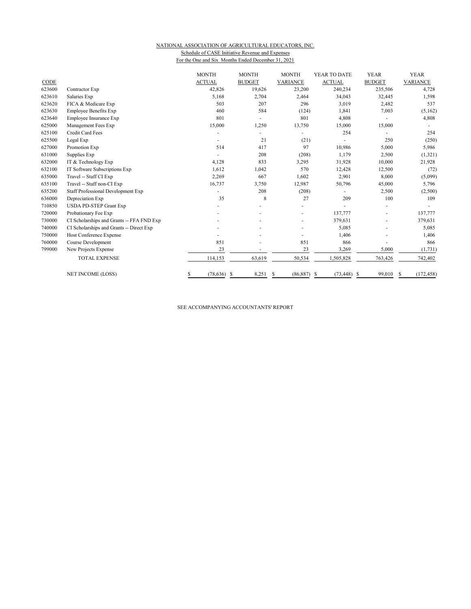### NATIONAL ASSOCIATION OF AGRICULTURAL EDUCATORS, INC.

Schedule of CASE Initiative Revenue and Expenses For the One and Six Months Ended December 31, 2021

|        |                                           | <b>MONTH</b>         | <b>MONTH</b>             | <b>MONTH</b>    | YEAR TO DATE   | <b>YEAR</b>   | <b>YEAR</b>     |
|--------|-------------------------------------------|----------------------|--------------------------|-----------------|----------------|---------------|-----------------|
| CODE   |                                           | <b>ACTUAL</b>        | <b>BUDGET</b>            | <b>VARIANCE</b> | <b>ACTUAL</b>  | <b>BUDGET</b> | <b>VARIANCE</b> |
| 623600 | Contractor Exp                            | 42,826               | 19,626                   | 23,200          | 240,234        | 235,506       | 4,728           |
| 623610 | Salaries Exp                              | 5,168                | 2,704                    | 2,464           | 34,043         | 32,445        | 1,598           |
| 623620 | FICA & Medicare Exp                       | 503                  | 207                      | 296             | 3,019          | 2,482         | 537             |
| 623630 | <b>Employee Benefits Exp</b>              | 460                  | 584                      | (124)           | 1,841          | 7,003         | (5,162)         |
| 623640 | Employee Insurance Exp                    | 801                  |                          | 801             | 4,808          |               | 4,808           |
| 625000 | Management Fees Exp                       | 15,000               | 1,250                    | 13,750          | 15,000         | 15,000        |                 |
| 625100 | Credit Card Fees                          |                      | $\overline{\phantom{0}}$ |                 | 254            |               | 254             |
| 625500 | Legal Exp                                 |                      | 21                       | (21)            |                | 250           | (250)           |
| 627000 | Promotion Exp                             | 514                  | 417                      | 97              | 10,986         | 5,000         | 5,986           |
| 631000 | Supplies Exp                              |                      | 208                      | (208)           | 1,179          | 2,500         | (1, 321)        |
| 632000 | IT & Technology Exp                       | 4,128                | 833                      | 3,295           | 31,928         | 10,000        | 21,928          |
| 632100 | IT Software Subscriptions Exp             | 1,612                | 1,042                    | 570             | 12,428         | 12,500        | (72)            |
| 635000 | Travel -- Staff CI Exp                    | 2,269                | 667                      | 1,602           | 2,901          | 8,000         | (5,099)         |
| 635100 | Travel -- Staff non-CI Exp                | 16,737               | 3,750                    | 12,987          | 50,796         | 45,000        | 5,796           |
| 635200 | <b>Staff Professional Development Exp</b> |                      | 208                      | (208)           |                | 2,500         | (2,500)         |
| 636000 | Depreciation Exp                          | 35                   | 8                        | 27              | 209            | 100           | 109             |
| 710850 | <b>USDA PD-STEP Grant Exp</b>             |                      |                          |                 |                |               |                 |
| 720000 | Probationary Fee Exp                      |                      |                          |                 | 137,777        | ٠             | 137,777         |
| 730000 | CI Scholarships and Grants -- FFA FND Exp |                      |                          |                 | 379,631        |               | 379,631         |
| 740000 | CI Scholarships and Grants -- Direct Exp  |                      |                          |                 | 5,085          |               | 5,085           |
| 750000 | Host Conference Expense                   |                      |                          |                 | 1,406          |               | 1,406           |
| 760000 | Course Development                        | 851                  |                          | 851             | 866            |               | 866             |
| 799000 | New Projects Expense                      | 23                   |                          | 23              | 3,269          | 5,000         | (1, 731)        |
|        | <b>TOTAL EXPENSE</b>                      | 114,153              | 63,619                   | 50,534          | 1,505,828      | 763,426       | 742,402         |
|        | <b>NET INCOME (LOSS)</b>                  | \$<br>$(78, 636)$ \$ | $8,251$ \$               | $(86,887)$ \$   | $(73, 448)$ \$ | 99,010        | (172, 458)<br>S |